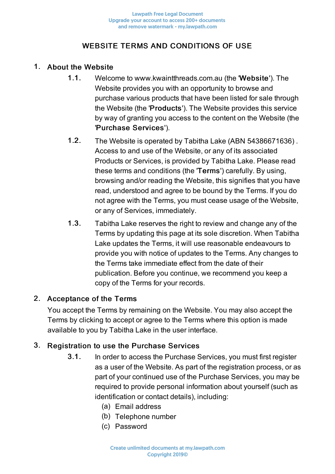# WEBSITE TERMS AND CONDITIONS OF USE

### 1. About the Website

- 1.1. Welcome to www.kwaintthreads.com.au (the 'Website'). The Website provides you with an opportunity to browse and purchase various products that have been listed for sale through the Website (the 'Products'). The Website provides this service by way of granting you access to the content on the Website (the 'Purchase Services').
- 1.2. The Website is operated by Tabitha Lake (ABN 54386671636) . Access to and use of the Website, or any of its associated Products or Services, is provided by Tabitha Lake. Please read these terms and conditions (the 'Terms') carefully. By using, browsing and/or reading the Website, this signifies that you have read, understood and agree to be bound by the Terms. If you do not agree with the Terms, you must cease usage of the Website, or any of Services, immediately.
- 1.3. Tabitha Lake reserves the right to review and change any of the Terms by updating this page at its sole discretion. When Tabitha Lake updates the Terms, it will use reasonable endeavours to provide you with notice of updates to the Terms. Any changes to the Terms take immediate effect from the date of their publication. Before you continue, we recommend you keep a copy of the Terms for your records.

# 2. Acceptance of the Terms

You accept the Terms by remaining on the Website. You may also accept the Terms by clicking to accept or agree to the Terms where this option is made available to you by Tabitha Lake in the user interface.

# 3. Registration to use the Purchase Services

- 3.1. In order to access the Purchase Services, you must first register as a user of the Website. As part of the registration process, or as part of your continued use of the Purchase Services, you may be required to provide personal information about yourself (such as identification or contact details), including:
	- (a) Email address
	- (b) Telephone number
	- (c) Password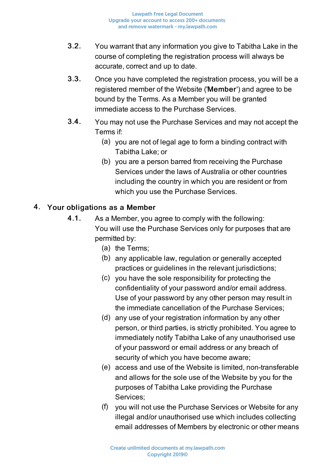- 3.2. You warrant that any information you give to Tabitha Lake in the course of completing the registration process will always be accurate, correct and up to date.
- 3.3. Once you have completed the registration process, you will be a registered member of the Website ('Member') and agree to be bound by the Terms. As a Member you will be granted immediate access to the Purchase Services.
- 3.4. You may not use the Purchase Services and may not accept the Terms if:
	- (a) you are not of legal age to form a binding contract with Tabitha Lake; or
	- (b) you are a person barred from receiving the Purchase Services under the laws of Australia or other countries including the country in which you are resident or from which you use the Purchase Services.

# 4. Your obligations as a Member

- 4.1. As a Member, you agree to comply with the following: You will use the Purchase Services only for purposes that are permitted by:
	- (a) the Terms;
	- (b) any applicable law, regulation or generally accepted practices or guidelines in the relevant jurisdictions;
	- (c) you have the sole responsibility for protecting the confidentiality of your password and/or email address. Use of your password by any other person may result in the immediate cancellation of the Purchase Services;
	- (d) any use of your registration information by any other person, or third parties, is strictly prohibited. You agree to immediately notify Tabitha Lake of any unauthorised use of your password or email address or any breach of security of which you have become aware;
	- (e) access and use of the Website is limited, non-transferable and allows for the sole use of the Website by you for the purposes of Tabitha Lake providing the Purchase Services;
	- (f) you will not use the Purchase Services or Website for any illegal and/or unauthorised use which includes collecting email addresses of Members by electronic or other means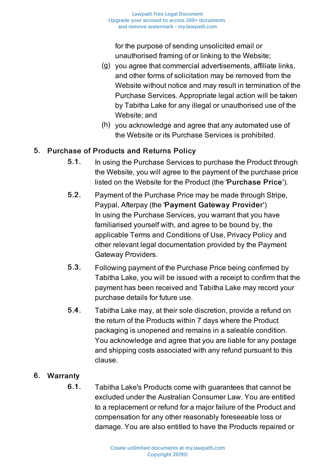for the purpose of sending unsolicited email or unauthorised framing of or linking to the Website;

- (g) you agree that commercial advertisements, affiliate links, and other forms of solicitation may be removed from the Website without notice and may result in termination of the Purchase Services. Appropriate legal action will be taken by Tabitha Lake for any illegal or unauthorised use of the Website; and
- (h) you acknowledge and agree that any automated use of the Website or its Purchase Services is prohibited.

# 5. Purchase of Products and Returns Policy

- 5.1. In using the Purchase Services to purchase the Product through the Website, you will agree to the payment of the purchase price listed on the Website for the Product (the 'Purchase Price').
- 5.2. Payment of the Purchase Price may be made through Stripe, Paypal, Afterpay (the 'Payment Gateway Provider') In using the Purchase Services, you warrant that you have familiarised yourself with, and agree to be bound by, the applicable Terms and Conditions of Use, Privacy Policy and other relevant legal documentation provided by the Payment Gateway Providers.
- 5.3. Following payment of the Purchase Price being confirmed by Tabitha Lake, you will be issued with a receipt to confirm that the payment has been received and Tabitha Lake may record your purchase details for future use.
- 5.4. Tabitha Lake may, at their sole discretion, provide a refund on the return of the Products within 7 days where the Product packaging is unopened and remains in a saleable condition. You acknowledge and agree that you are liable for any postage and shipping costs associated with any refund pursuant to this clause.

# 6. Warranty

6.1. Tabitha Lake's Products come with guarantees that cannot be excluded under the Australian Consumer Law. You are entitled to a replacement or refund for a major failure of the Product and compensation for any other reasonably foreseeable loss or damage. You are also entitled to have the Products repaired or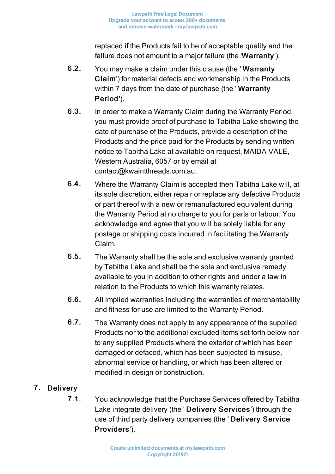replaced if the Products fail to be of acceptable quality and the failure does not amount to a major failure (the 'Warranty').

- 6.2. You may make a claim under this clause (the ' Warranty Claim') for material defects and workmanship in the Products within 7 days from the date of purchase (the 'Warranty Period').
- 6.3. In order to make a Warranty Claim during the Warranty Period, you must provide proof of purchase to Tabitha Lake showing the date of purchase of the Products, provide a description of the Products and the price paid for the Products by sending written notice to Tabitha Lake at available on request, MAIDA VALE, Western Australia, 6057 or by email at contact@kwaintthreads.com.au.
- 6.4. Where the Warranty Claim is accepted then Tabitha Lake will, at its sole discretion, either repair or replace any defective Products or part thereof with a new or remanufactured equivalent during the Warranty Period at no charge to you for parts or labour. You acknowledge and agree that you will be solely liable for any postage or shipping costs incurred in facilitating the Warranty Claim.
- 6.5. The Warranty shall be the sole and exclusive warranty granted by Tabitha Lake and shall be the sole and exclusive remedy available to you in addition to other rights and under a law in relation to the Products to which this warranty relates.
- 6.6. All implied warranties including the warranties of merchantability and fitness for use are limited to the Warranty Period.
- 6.7. The Warranty does not apply to any appearance of the supplied Products nor to the additional excluded items set forth below nor to any supplied Products where the exterior of which has been damaged or defaced, which has been subjected to misuse, abnormal service or handling, or which has been altered or modified in design or construction.

# 7. Delivery

7.1. You acknowledge that the Purchase Services offered by Tabitha Lake integrate delivery (the ' Delivery Services') through the use of third party delivery companies (the ' Delivery Service Providers').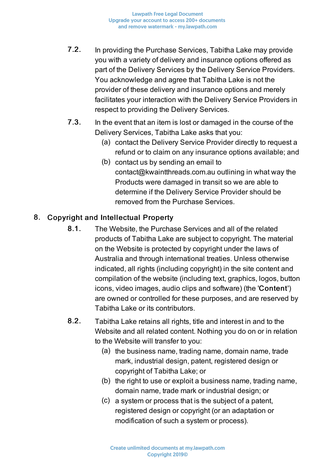**Lawpath Free Legal Document** Upgrade your account to access 200+ documents and remove watermark - my.lawpath.com

- 7.2. In providing the Purchase Services, Tabitha Lake may provide you with a variety of delivery and insurance options offered as part of the Delivery Services by the Delivery Service Providers. You acknowledge and agree that Tabitha Lake is not the provider of these delivery and insurance options and merely facilitates your interaction with the Delivery Service Providers in respect to providing the Delivery Services.
- 7.3. In the event that an item is lost or damaged in the course of the Delivery Services, Tabitha Lake asks that you:
	- (a) contact the Delivery Service Provider directly to request a refund or to claim on any insurance options available; and
	- (b) contact us by sending an email to contact@kwaintthreads.com.au outlining in what way the Products were damaged in transit so we are able to determine if the Delivery Service Provider should be removed from the Purchase Services.

### 8. Copyright and Intellectual Property

- 8.1. The Website, the Purchase Services and all of the related products of Tabitha Lake are subject to copyright. The material on the Website is protected by copyright under the laws of Australia and through international treaties. Unless otherwise indicated, all rights (including copyright) in the site content and compilation of the website (including text, graphics, logos, button icons, video images, audio clips and software) (the 'Content') are owned or controlled for these purposes, and are reserved by Tabitha Lake or its contributors.
- 8.2. Tabitha Lake retains all rights, title and interest in and to the Website and all related content. Nothing you do on or in relation to the Website will transfer to you:
	- (a) the business name, trading name, domain name, trade mark, industrial design, patent, registered design or copyright of Tabitha Lake; or
	- (b) the right to use or exploit a business name, trading name, domain name, trade mark or industrial design; or
	- (c) a system or process that is the subject of a patent, registered design or copyright (or an adaptation or modification of such a system or process).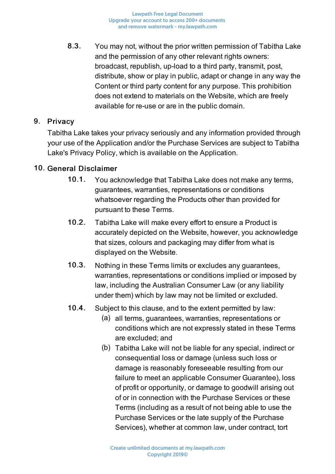8.3. You may not, without the prior written permission of Tabitha Lake and the permission of any other relevant rights owners: broadcast, republish, up-load to a third party, transmit, post, distribute, show or play in public, adapt or change in any way the Content or third party content for any purpose. This prohibition does not extend to materials on the Website, which are freely available for re-use or are in the public domain.

### 9. Privacy

Tabitha Lake takes your privacy seriously and any information provided through your use of the Application and/or the Purchase Services are subject to Tabitha Lake's Privacy Policy, which is available on the Application.

#### 10. General Disclaimer

- 10.1. You acknowledge that Tabitha Lake does not make any terms, guarantees, warranties, representations or conditions whatsoever regarding the Products other than provided for pursuant to these Terms.
- 10.2. Tabitha Lake will make every effort to ensure a Product is accurately depicted on the Website, however, you acknowledge that sizes, colours and packaging may differ from what is displayed on the Website.
- 10.3. Nothing in these Terms limits or excludes any guarantees, warranties, representations or conditions implied or imposed by law, including the Australian Consumer Law (or any liability under them) which by law may not be limited or excluded.
- 10.4. Subject to this clause, and to the extent permitted by law:
	- (a) all terms, guarantees, warranties, representations or conditions which are not expressly stated in these Terms are excluded; and
	- (b) Tabitha Lake will not be liable for any special, indirect or consequential loss or damage (unless such loss or damage is reasonably foreseeable resulting from our failure to meet an applicable Consumer Guarantee), loss of profit or opportunity, or damage to goodwill arising out of or in connection with the Purchase Services or these Terms (including as a result of not being able to use the Purchase Services or the late supply of the Purchase Services), whether at common law, under contract, tort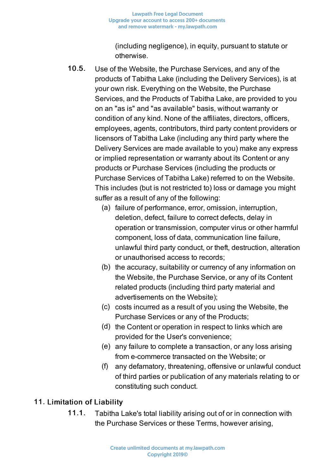(including negligence), in equity, pursuant to statute or otherwise.

- 10.5. Use of the Website, the Purchase Services, and any of the products of Tabitha Lake (including the Delivery Services), is at your own risk. Everything on the Website, the Purchase Services, and the Products of Tabitha Lake, are provided to you on an "as is" and "as available" basis, without warranty or condition of any kind. None of the affiliates, directors, officers, employees, agents, contributors, third party content providers or licensors of Tabitha Lake (including any third party where the Delivery Services are made available to you) make any express or implied representation or warranty about its Content or any products or Purchase Services (including the products or Purchase Services of Tabitha Lake) referred to on the Website. This includes (but is not restricted to) loss or damage you might suffer as a result of any of the following:
	- (a) failure of performance, error, omission, interruption, deletion, defect, failure to correct defects, delay in operation or transmission, computer virus or other harmful component, loss of data, communication line failure, unlawful third party conduct, or theft, destruction, alteration or unauthorised access to records;
	- (b) the accuracy, suitability or currency of any information on the Website, the Purchase Service, or any of its Content related products (including third party material and advertisements on the Website);
	- (c) costs incurred as a result of you using the Website, the Purchase Services or any of the Products;
	- (d) the Content or operation in respect to links which are provided for the User's convenience;
	- (e) any failure to complete a transaction, or any loss arising from e-commerce transacted on the Website; or
	- (f) any defamatory, threatening, offensive or unlawful conduct of third parties or publication of any materials relating to or constituting such conduct.

# 11. Limitation of Liability

11.1. Tabitha Lake's total liability arising out of or in connection with the Purchase Services or these Terms, however arising,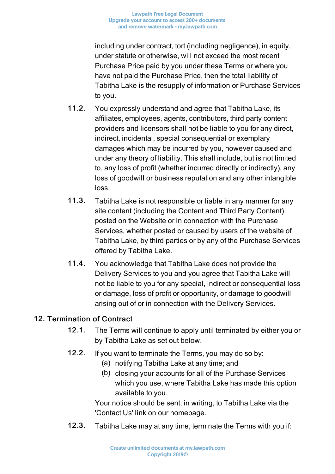including under contract, tort (including negligence), in equity, under statute or otherwise, will not exceed the most recent Purchase Price paid by you under these Terms or where you have not paid the Purchase Price, then the total liability of Tabitha Lake is the resupply of information or Purchase Services to you.

- 11.2. You expressly understand and agree that Tabitha Lake, its affiliates, employees, agents, contributors, third party content providers and licensors shall not be liable to you for any direct, indirect, incidental, special consequential or exemplary damages which may be incurred by you, however caused and under any theory of liability. This shall include, but is not limited to, any loss of profit (whether incurred directly or indirectly), any loss of goodwill or business reputation and any other intangible loss.
- 11.3. Tabitha Lake is not responsible or liable in any manner for any site content (including the Content and Third Party Content) posted on the Website or in connection with the Purchase Services, whether posted or caused by users of the website of Tabitha Lake, by third parties or by any of the Purchase Services offered by Tabitha Lake.
- 11.4. You acknowledge that Tabitha Lake does not provide the Delivery Services to you and you agree that Tabitha Lake will not be liable to you for any special, indirect or consequential loss or damage, loss of profit or opportunity, or damage to goodwill arising out of or in connection with the Delivery Services.

# 12. Termination of Contract

- 12.1. The Terms will continue to apply until terminated by either you or by Tabitha Lake as set out below.
- 12.2. If you want to terminate the Terms, you may do so by:
	- (a) notifying Tabitha Lake at any time; and
	- (b) closing your accounts for all of the Purchase Services which you use, where Tabitha Lake has made this option available to you.

Your notice should be sent, in writing, to Tabitha Lake via the 'Contact Us' link on our homepage.

12.3. Tabitha Lake may at any time, terminate the Terms with you if: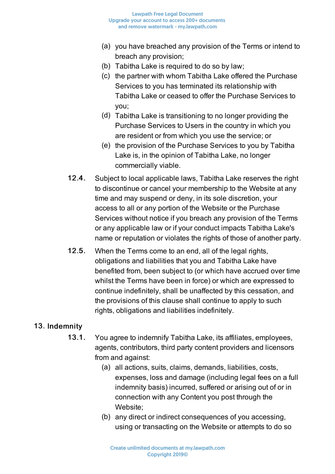- (a) you have breached any provision of the Terms or intend to breach any provision;
- (b) Tabitha Lake is required to do so by law;
- (c) the partner with whom Tabitha Lake offered the Purchase Services to you has terminated its relationship with Tabitha Lake or ceased to offer the Purchase Services to you;
- (d) Tabitha Lake is transitioning to no longer providing the Purchase Services to Users in the country in which you are resident or from which you use the service; or
- (e) the provision of the Purchase Services to you by Tabitha Lake is, in the opinion of Tabitha Lake, no longer commercially viable.
- 12.4. Subject to local applicable laws, Tabitha Lake reserves the right to discontinue or cancel your membership to the Website at any time and may suspend or deny, in its sole discretion, your access to all or any portion of the Website or the Purchase Services without notice if you breach any provision of the Terms or any applicable law or if your conduct impacts Tabitha Lake's name or reputation or violates the rights of those of another party.
- 12.5. When the Terms come to an end, all of the legal rights, obligations and liabilities that you and Tabitha Lake have benefited from, been subject to (or which have accrued over time whilst the Terms have been in force) or which are expressed to continue indefinitely, shall be unaffected by this cessation, and the provisions of this clause shall continue to apply to such rights, obligations and liabilities indefinitely.

# 13. Indemnity

- 13.1. You agree to indemnify Tabitha Lake, its affiliates, employees, agents, contributors, third party content providers and licensors from and against:
	- (a) all actions, suits, claims, demands, liabilities, costs, expenses, loss and damage (including legal fees on a full indemnity basis) incurred, suffered or arising out of or in connection with any Content you post through the Website;
	- (b) any direct or indirect consequences of you accessing, using or transacting on the Website or attempts to do so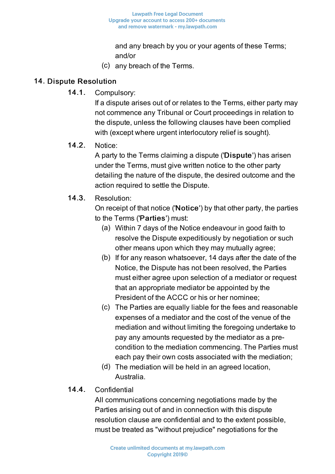and any breach by you or your agents of these Terms; and/or

(c) any breach of the Terms.

#### 14. Dispute Resolution

14.1. Compulsory:

If a dispute arises out of or relates to the Terms, either party may not commence any Tribunal or Court proceedings in relation to the dispute, unless the following clauses have been complied with (except where urgent interlocutory relief is sought).

14.2. Notice:

A party to the Terms claiming a dispute ('Dispute') has arisen under the Terms, must give written notice to the other party detailing the nature of the dispute, the desired outcome and the action required to settle the Dispute.

### 14.3. Resolution:

On receipt of that notice ('Notice') by that other party, the parties to the Terms ('Parties') must:

- (a) Within 7 days of the Notice endeavour in good faith to resolve the Dispute expeditiously by negotiation or such other means upon which they may mutually agree;
- (b) If for any reason whatsoever, 14 days after the date of the Notice, the Dispute has not been resolved, the Parties must either agree upon selection of a mediator or request that an appropriate mediator be appointed by the President of the ACCC or his or her nominee;
- (c) The Parties are equally liable for the fees and reasonable expenses of a mediator and the cost of the venue of the mediation and without limiting the foregoing undertake to pay any amounts requested by the mediator as a precondition to the mediation commencing. The Parties must each pay their own costs associated with the mediation;
- (d) The mediation will be held in an agreed location, Australia.

# 14.4. Confidential

All communications concerning negotiations made by the Parties arising out of and in connection with this dispute resolution clause are confidential and to the extent possible, must be treated as "without prejudice" negotiations for the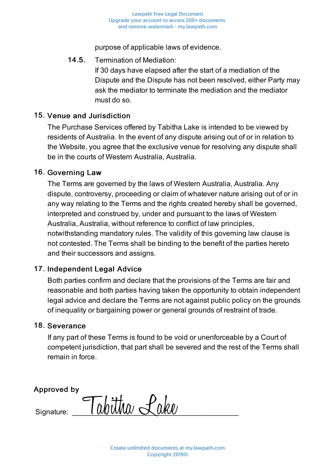purpose of applicable laws of evidence.

#### 14.5. Termination of Mediation:

If 30 days have elapsed after the start of a mediation of the Dispute and the Dispute has not been resolved, either Party may ask the mediator to terminate the mediation and the mediator must do so.

#### 15. Venue and Jurisdiction

The Purchase Services offered by Tabitha Lake is intended to be viewed by residents of Australia. In the event of any dispute arising out of or in relation to the Website, you agree that the exclusive venue for resolving any dispute shall be in the courts of Western Australia, Australia.

#### 16. Governing Law

The Terms are governed by the laws of Western Australia, Australia. Any dispute, controversy, proceeding or claim of whatever nature arising out of or in any way relating to the Terms and the rights created hereby shall be governed, interpreted and construed by, under and pursuant to the laws of Western Australia, Australia, without reference to conflict of law principles, notwithstanding mandatory rules. The validity of this governing law clause is not contested. The Terms shall be binding to the benefit of the parties hereto and their successors and assigns.

#### 17. Independent Legal Advice

Both parties confirm and declare that the provisions of the Terms are fair and reasonable and both parties having taken the opportunity to obtain independent legal advice and declare the Terms are not against public policy on the grounds of inequality or bargaining power or general grounds of restraint of trade.

#### 18. Severance

If any part of these Terms is found to be void or unenforceable by a Court of competent jurisdiction, that part shall be severed and the rest of the Terms shall remain in force.

Approved by

 $\epsilon_{\text{Sianature:}}$   $\tau_{\text{ab}}$ ttha Lake